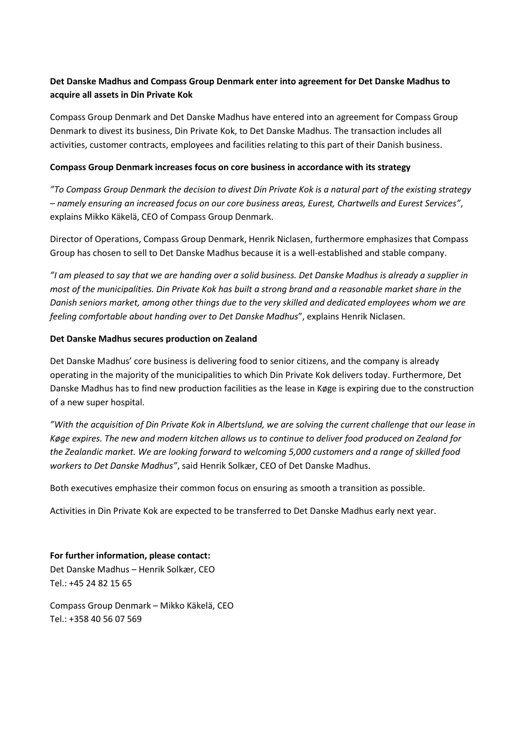# **Det Danske Madhus and Compass Group Denmark enter into agreement for Det Danske Madhus to acquire all assets in Din Private Kok**

Compass Group Denmark and Det Danske Madhus have entered into an agreement for Compass Group Denmark to divest its business, Din Private Kok, to Det Danske Madhus. The transaction includes all activities, customer contracts, employees and facilities relating to this part of their Danish business.

#### **Compass Group Denmark increases focus on core business in accordance with its strategy**

*"To Compass Group Denmark the decision to divest Din Private Kok is a natural part of the existing strategy – namely ensuring an increased focus on our core business areas, Eurest, Chartwells and Eurest Services"*, explains Mikko Käkelä, CEO of Compass Group Denmark.

Director of Operations, Compass Group Denmark, Henrik Niclasen, furthermore emphasizes that Compass Group has chosen to sell to Det Danske Madhus because it is a well-established and stable company.

*"I am pleased to say that we are handing over a solid business. Det Danske Madhus is already a supplier in most of the municipalities. Din Private Kok has built a strong brand and a reasonable market share in the Danish seniors market, among other things due to the very skilled and dedicated employees whom we are feeling comfortable about handing over to Det Danske Madhus*", explains Henrik Niclasen.

## **Det Danske Madhus secures production on Zealand**

Det Danske Madhus' core business is delivering food to senior citizens, and the company is already operating in the majority of the municipalities to which Din Private Kok delivers today. Furthermore, Det Danske Madhus has to find new production facilities as the lease in Køge is expiring due to the construction of a new super hospital.

*"With the acquisition of Din Private Kok in Albertslund, we are solving the current challenge that our lease in Køge expires. The new and modern kitchen allows us to continue to deliver food produced on Zealand for the Zealandic market. We are looking forward to welcoming 5,000 customers and a range of skilled food workers to Det Danske Madhus"*, said Henrik Solkær, CEO of Det Danske Madhus.

Both executives emphasize their common focus on ensuring as smooth a transition as possible.

Activities in Din Private Kok are expected to be transferred to Det Danske Madhus early next year.

**For further information, please contact:** Det Danske Madhus – Henrik Solkær, CEO Tel.: +45 24 82 15 65

Compass Group Denmark – Mikko Käkelä, CEO Tel.: +358 40 56 07 569